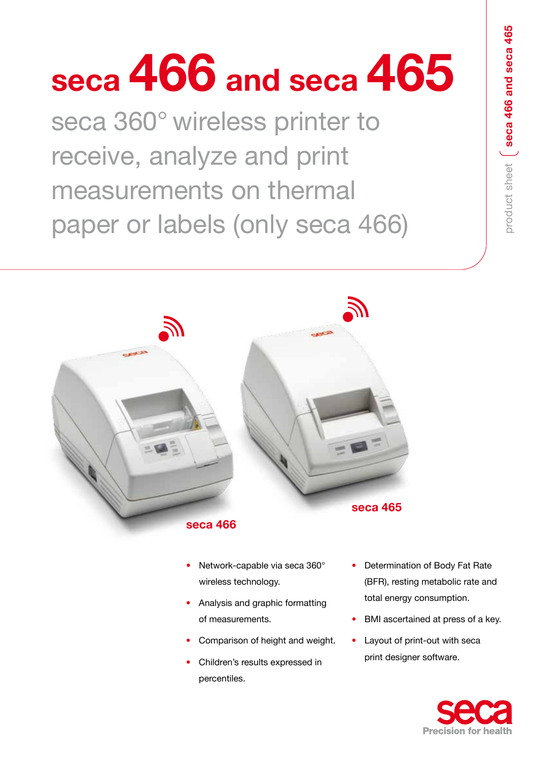# **seca 466 and seca 465**

seca 360° wireless printer to receive, analyze and print measurements on thermal paper or labels (only seca 466)





- Network-capable via seca 360° wireless technology.
- Analysis and graphic formatting of measurements.
- Comparison of height and weight.
- Children's results expressed in percentiles.
- Determination of Body Fat Rate (BFR), resting metabolic rate and total energy consumption.
- BMI ascertained at press of a key.
- Layout of print-out with seca print designer software.